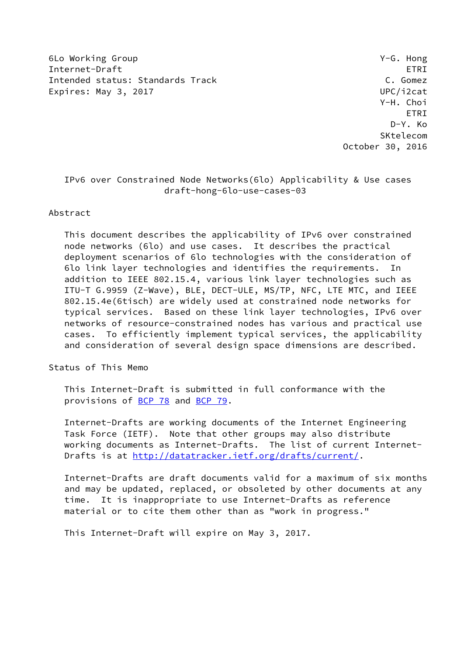6Lo Working Group Y-G. Hong Internet-Draft ETRI Intended status: Standards Track C. Gomez Expires: May 3, 2017 **UPC/i2cat** 

 Y-H. Choi ETRI D-Y. Ko SKtelecom October 30, 2016

# IPv6 over Constrained Node Networks(6lo) Applicability & Use cases draft-hong-6lo-use-cases-03

### Abstract

 This document describes the applicability of IPv6 over constrained node networks (6lo) and use cases. It describes the practical deployment scenarios of 6lo technologies with the consideration of 6lo link layer technologies and identifies the requirements. In addition to IEEE 802.15.4, various link layer technologies such as ITU-T G.9959 (Z-Wave), BLE, DECT-ULE, MS/TP, NFC, LTE MTC, and IEEE 802.15.4e(6tisch) are widely used at constrained node networks for typical services. Based on these link layer technologies, IPv6 over networks of resource-constrained nodes has various and practical use cases. To efficiently implement typical services, the applicability and consideration of several design space dimensions are described.

Status of This Memo

 This Internet-Draft is submitted in full conformance with the provisions of [BCP 78](https://datatracker.ietf.org/doc/pdf/bcp78) and [BCP 79](https://datatracker.ietf.org/doc/pdf/bcp79).

 Internet-Drafts are working documents of the Internet Engineering Task Force (IETF). Note that other groups may also distribute working documents as Internet-Drafts. The list of current Internet- Drafts is at<http://datatracker.ietf.org/drafts/current/>.

 Internet-Drafts are draft documents valid for a maximum of six months and may be updated, replaced, or obsoleted by other documents at any time. It is inappropriate to use Internet-Drafts as reference material or to cite them other than as "work in progress."

This Internet-Draft will expire on May 3, 2017.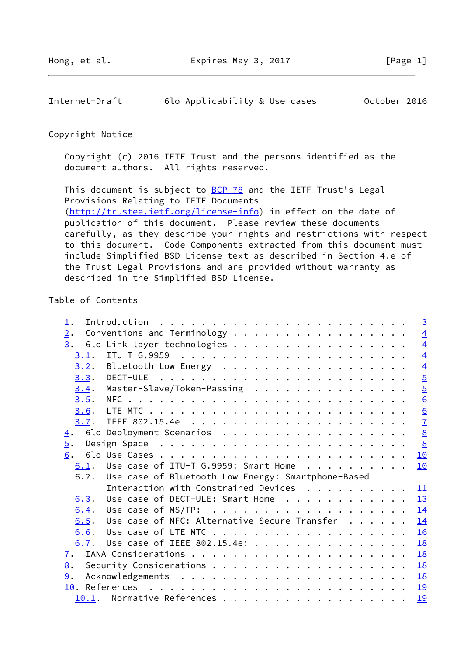Internet-Draft 6lo Applicability & Use cases October 2016

### Copyright Notice

 Copyright (c) 2016 IETF Trust and the persons identified as the document authors. All rights reserved.

This document is subject to **[BCP 78](https://datatracker.ietf.org/doc/pdf/bcp78)** and the IETF Trust's Legal Provisions Relating to IETF Documents [\(http://trustee.ietf.org/license-info](http://trustee.ietf.org/license-info)) in effect on the date of publication of this document. Please review these documents carefully, as they describe your rights and restrictions with respect to this document. Code Components extracted from this document must include Simplified BSD License text as described in Section 4.e of the Trust Legal Provisions and are provided without warranty as described in the Simplified BSD License.

# Table of Contents

| $\perp$ .        | $\overline{3}$                                            |
|------------------|-----------------------------------------------------------|
| 2.               | Conventions and Terminology<br>$\overline{4}$             |
| 3.               | $\overline{4}$<br>6lo Link layer technologies             |
| 3.1.             | $\overline{4}$                                            |
|                  | $\overline{4}$                                            |
|                  | $\overline{5}$                                            |
| 3.4.             | $\overline{5}$<br>Master-Slave/Token-Passing              |
| 3.5.             | $\underline{6}$                                           |
| 3.6.             | $\overline{6}$                                            |
|                  | $\overline{1}$                                            |
| $\overline{4}$ . | 8<br>6lo Deployment Scenarios                             |
| $\overline{5}$ . | $\frac{8}{2}$                                             |
| 6.               | 10                                                        |
|                  | $6.1$ . Use case of ITU-T G.9959: Smart Home<br>10        |
|                  | 6.2. Use case of Bluetooth Low Energy: Smartphone-Based   |
|                  | Interaction with Constrained Devices<br>11                |
| 6.3.             | Use case of DECT-ULE: Smart Home<br>13                    |
| 6.4.             | 14                                                        |
| 6.5.             | Use case of NFC: Alternative Secure Transfer<br><u>14</u> |
| 6.6.             | 16                                                        |
| 6.7.             | Use case of IEEE 802.15.4e:<br>18                         |
| <u>7</u> .       | 18                                                        |
| 8.               |                                                           |
| 9.               | 18                                                        |
|                  | <u> 19</u>                                                |
| 10.1.            | Normative References<br>19                                |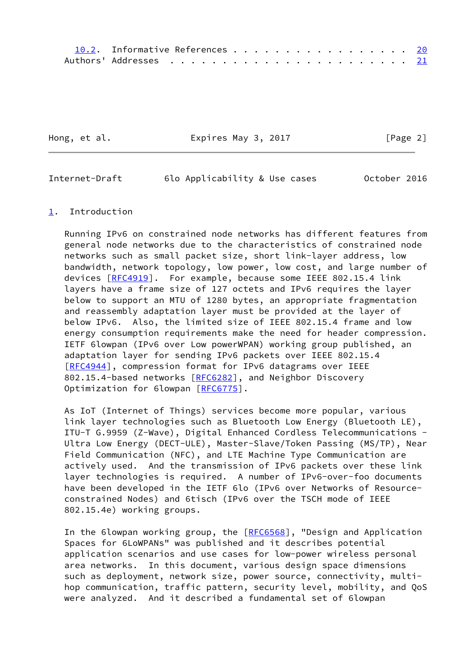| 10.2. Informative References 20 |  |  |  |  |  |  |  |  |
|---------------------------------|--|--|--|--|--|--|--|--|
|                                 |  |  |  |  |  |  |  |  |

Hong, et al. **Expires May 3, 2017** [Page 2]

<span id="page-2-1"></span>Internet-Draft 6lo Applicability & Use cases October 2016

### <span id="page-2-0"></span>[1](#page-2-0). Introduction

 Running IPv6 on constrained node networks has different features from general node networks due to the characteristics of constrained node networks such as small packet size, short link-layer address, low bandwidth, network topology, low power, low cost, and large number of devices [\[RFC4919](https://datatracker.ietf.org/doc/pdf/rfc4919)]. For example, because some IEEE 802.15.4 link layers have a frame size of 127 octets and IPv6 requires the layer below to support an MTU of 1280 bytes, an appropriate fragmentation and reassembly adaptation layer must be provided at the layer of below IPv6. Also, the limited size of IEEE 802.15.4 frame and low energy consumption requirements make the need for header compression. IETF 6lowpan (IPv6 over Low powerWPAN) working group published, an adaptation layer for sending IPv6 packets over IEEE 802.15.4 [\[RFC4944](https://datatracker.ietf.org/doc/pdf/rfc4944)], compression format for IPv6 datagrams over IEEE 802.15.4-based networks [\[RFC6282](https://datatracker.ietf.org/doc/pdf/rfc6282)], and Neighbor Discovery Optimization for 6lowpan [\[RFC6775](https://datatracker.ietf.org/doc/pdf/rfc6775)].

 As IoT (Internet of Things) services become more popular, various link layer technologies such as Bluetooth Low Energy (Bluetooth LE), ITU-T G.9959 (Z-Wave), Digital Enhanced Cordless Telecommunications - Ultra Low Energy (DECT-ULE), Master-Slave/Token Passing (MS/TP), Near Field Communication (NFC), and LTE Machine Type Communication are actively used. And the transmission of IPv6 packets over these link layer technologies is required. A number of IPv6-over-foo documents have been developed in the IETF 6lo (IPv6 over Networks of Resource constrained Nodes) and 6tisch (IPv6 over the TSCH mode of IEEE 802.15.4e) working groups.

In the 6lowpan working group, the [[RFC6568](https://datatracker.ietf.org/doc/pdf/rfc6568)], "Design and Application Spaces for 6LoWPANs" was published and it describes potential application scenarios and use cases for low-power wireless personal area networks. In this document, various design space dimensions such as deployment, network size, power source, connectivity, multi hop communication, traffic pattern, security level, mobility, and QoS were analyzed. And it described a fundamental set of 6lowpan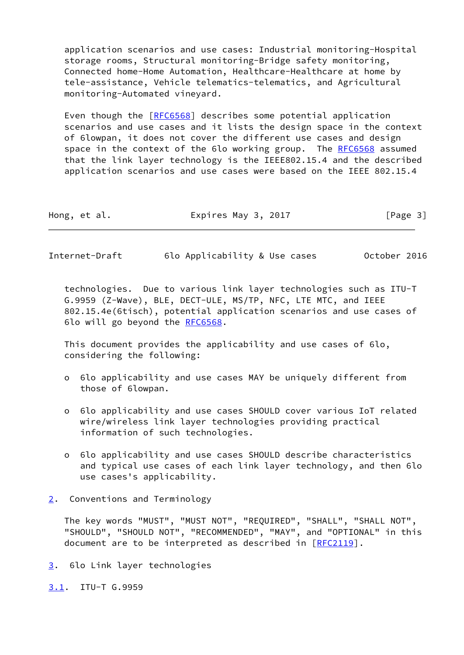application scenarios and use cases: Industrial monitoring-Hospital storage rooms, Structural monitoring-Bridge safety monitoring, Connected home-Home Automation, Healthcare-Healthcare at home by tele-assistance, Vehicle telematics-telematics, and Agricultural monitoring-Automated vineyard.

 Even though the [\[RFC6568](https://datatracker.ietf.org/doc/pdf/rfc6568)] describes some potential application scenarios and use cases and it lists the design space in the context of 6lowpan, it does not cover the different use cases and design space in the context of the 6lo working group. The [RFC6568](https://datatracker.ietf.org/doc/pdf/rfc6568) assumed that the link layer technology is the IEEE802.15.4 and the described application scenarios and use cases were based on the IEEE 802.15.4

| Hong, et al. | Expires May 3, 2017 | [Page 3] |
|--------------|---------------------|----------|
|--------------|---------------------|----------|

<span id="page-3-1"></span>Internet-Draft 6lo Applicability & Use cases October 2016

 technologies. Due to various link layer technologies such as ITU-T G.9959 (Z-Wave), BLE, DECT-ULE, MS/TP, NFC, LTE MTC, and IEEE 802.15.4e(6tisch), potential application scenarios and use cases of 6lo will go beyond the [RFC6568](https://datatracker.ietf.org/doc/pdf/rfc6568).

 This document provides the applicability and use cases of 6lo, considering the following:

- o 6lo applicability and use cases MAY be uniquely different from those of 6lowpan.
- o 6lo applicability and use cases SHOULD cover various IoT related wire/wireless link layer technologies providing practical information of such technologies.
- o 6lo applicability and use cases SHOULD describe characteristics and typical use cases of each link layer technology, and then 6lo use cases's applicability.
- <span id="page-3-0"></span>[2](#page-3-0). Conventions and Terminology

 The key words "MUST", "MUST NOT", "REQUIRED", "SHALL", "SHALL NOT", "SHOULD", "SHOULD NOT", "RECOMMENDED", "MAY", and "OPTIONAL" in this document are to be interpreted as described in [\[RFC2119](https://datatracker.ietf.org/doc/pdf/rfc2119)].

<span id="page-3-2"></span>[3](#page-3-2). 6lo Link layer technologies

<span id="page-3-3"></span>[3.1](#page-3-3). ITU-T G.9959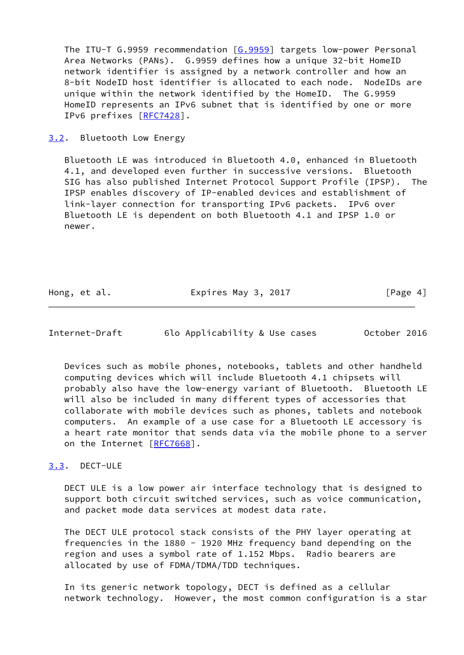The ITU-T G.9959 recommendation [\[G.9959](#page-22-1)] targets low-power Personal Area Networks (PANs). G.9959 defines how a unique 32-bit HomeID network identifier is assigned by a network controller and how an 8-bit NodeID host identifier is allocated to each node. NodeIDs are unique within the network identified by the HomeID. The G.9959 HomeID represents an IPv6 subnet that is identified by one or more IPv6 prefixes [[RFC7428](https://datatracker.ietf.org/doc/pdf/rfc7428)].

<span id="page-4-0"></span>[3.2](#page-4-0). Bluetooth Low Energy

 Bluetooth LE was introduced in Bluetooth 4.0, enhanced in Bluetooth 4.1, and developed even further in successive versions. Bluetooth SIG has also published Internet Protocol Support Profile (IPSP). The IPSP enables discovery of IP-enabled devices and establishment of link-layer connection for transporting IPv6 packets. IPv6 over Bluetooth LE is dependent on both Bluetooth 4.1 and IPSP 1.0 or newer.

Hong, et al. **Expires May 3, 2017** [Page 4]

<span id="page-4-2"></span>Internet-Draft 6lo Applicability & Use cases October 2016

 Devices such as mobile phones, notebooks, tablets and other handheld computing devices which will include Bluetooth 4.1 chipsets will probably also have the low-energy variant of Bluetooth. Bluetooth LE will also be included in many different types of accessories that collaborate with mobile devices such as phones, tablets and notebook computers. An example of a use case for a Bluetooth LE accessory is a heart rate monitor that sends data via the mobile phone to a server on the Internet [\[RFC7668](https://datatracker.ietf.org/doc/pdf/rfc7668)].

# <span id="page-4-1"></span>[3.3](#page-4-1). DECT-ULE

 DECT ULE is a low power air interface technology that is designed to support both circuit switched services, such as voice communication, and packet mode data services at modest data rate.

 The DECT ULE protocol stack consists of the PHY layer operating at frequencies in the 1880 - 1920 MHz frequency band depending on the region and uses a symbol rate of 1.152 Mbps. Radio bearers are allocated by use of FDMA/TDMA/TDD techniques.

 In its generic network topology, DECT is defined as a cellular network technology. However, the most common configuration is a star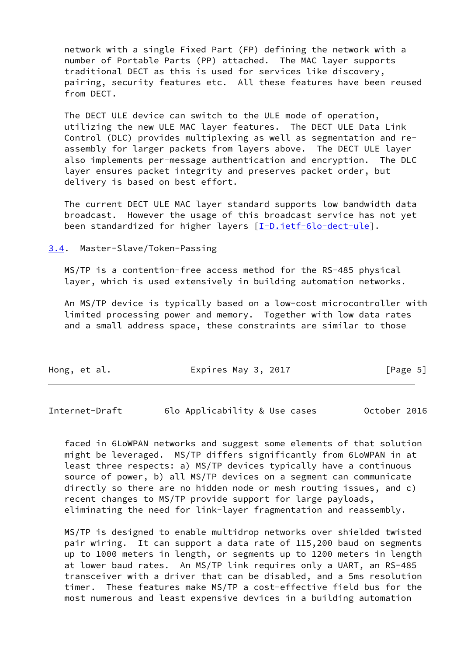network with a single Fixed Part (FP) defining the network with a number of Portable Parts (PP) attached. The MAC layer supports traditional DECT as this is used for services like discovery, pairing, security features etc. All these features have been reused from DECT.

 The DECT ULE device can switch to the ULE mode of operation, utilizing the new ULE MAC layer features. The DECT ULE Data Link Control (DLC) provides multiplexing as well as segmentation and re assembly for larger packets from layers above. The DECT ULE layer also implements per-message authentication and encryption. The DLC layer ensures packet integrity and preserves packet order, but delivery is based on best effort.

 The current DECT ULE MAC layer standard supports low bandwidth data broadcast. However the usage of this broadcast service has not yet been standardized for higher layers [\[I-D.ietf-6lo-dect-ule](#page-21-2)].

<span id="page-5-0"></span>[3.4](#page-5-0). Master-Slave/Token-Passing

 MS/TP is a contention-free access method for the RS-485 physical layer, which is used extensively in building automation networks.

 An MS/TP device is typically based on a low-cost microcontroller with limited processing power and memory. Together with low data rates and a small address space, these constraints are similar to those

| Hong, et al. | Expires May 3, 2017 | [Page 5] |  |
|--------------|---------------------|----------|--|
|              |                     |          |  |

<span id="page-5-1"></span>Internet-Draft 6lo Applicability & Use cases October 2016

 faced in 6LoWPAN networks and suggest some elements of that solution might be leveraged. MS/TP differs significantly from 6LoWPAN in at least three respects: a) MS/TP devices typically have a continuous source of power, b) all MS/TP devices on a segment can communicate directly so there are no hidden node or mesh routing issues, and c) recent changes to MS/TP provide support for large payloads, eliminating the need for link-layer fragmentation and reassembly.

 MS/TP is designed to enable multidrop networks over shielded twisted pair wiring. It can support a data rate of 115,200 baud on segments up to 1000 meters in length, or segments up to 1200 meters in length at lower baud rates. An MS/TP link requires only a UART, an RS-485 transceiver with a driver that can be disabled, and a 5ms resolution timer. These features make MS/TP a cost-effective field bus for the most numerous and least expensive devices in a building automation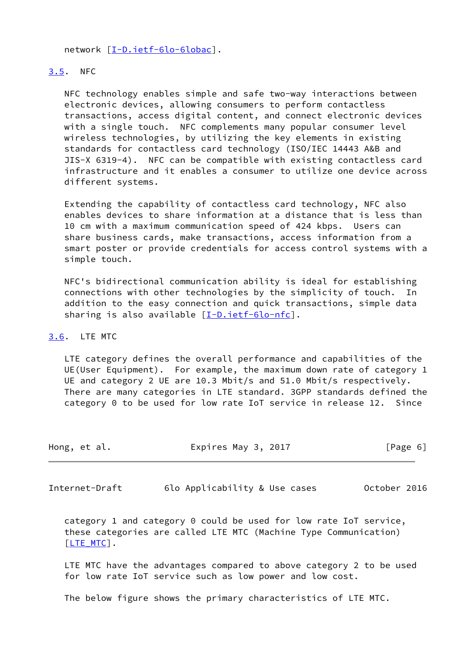network [\[I-D.ietf-6lo-6lobac](#page-22-2)].

## <span id="page-6-0"></span>[3.5](#page-6-0). NFC

 NFC technology enables simple and safe two-way interactions between electronic devices, allowing consumers to perform contactless transactions, access digital content, and connect electronic devices with a single touch. NFC complements many popular consumer level wireless technologies, by utilizing the key elements in existing standards for contactless card technology (ISO/IEC 14443 A&B and JIS-X 6319-4). NFC can be compatible with existing contactless card infrastructure and it enables a consumer to utilize one device across different systems.

 Extending the capability of contactless card technology, NFC also enables devices to share information at a distance that is less than 10 cm with a maximum communication speed of 424 kbps. Users can share business cards, make transactions, access information from a smart poster or provide credentials for access control systems with a simple touch.

 NFC's bidirectional communication ability is ideal for establishing connections with other technologies by the simplicity of touch. In addition to the easy connection and quick transactions, simple data sharing is also available [[I-D.ietf-6lo-nfc\]](#page-22-3).

# <span id="page-6-1"></span>[3.6](#page-6-1). LTE MTC

 LTE category defines the overall performance and capabilities of the UE(User Equipment). For example, the maximum down rate of category 1 UE and category 2 UE are 10.3 Mbit/s and 51.0 Mbit/s respectively. There are many categories in LTE standard. 3GPP standards defined the category 0 to be used for low rate IoT service in release 12. Since

| Hong, et al. | Expires May 3, 2017 | [Page 6] |
|--------------|---------------------|----------|
|--------------|---------------------|----------|

<span id="page-6-2"></span>Internet-Draft 6lo Applicability & Use cases October 2016

 category 1 and category 0 could be used for low rate IoT service, these categories are called LTE MTC (Machine Type Communication) [\[LTE\\_MTC](#page-22-4)].

 LTE MTC have the advantages compared to above category 2 to be used for low rate IoT service such as low power and low cost.

The below figure shows the primary characteristics of LTE MTC.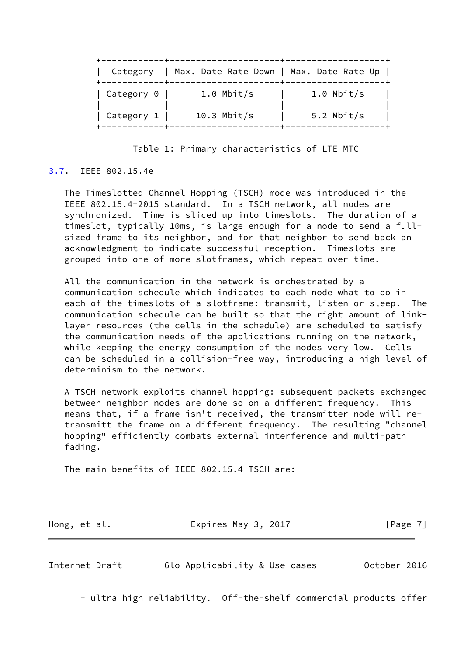|                   | Category   Max. Date Rate Down   Max. Date Rate Up |              |
|-------------------|----------------------------------------------------|--------------|
| Category 0        | $1.0$ Mbit/s                                       | $1.0$ Mbit/s |
| Category $1 \mid$ | $10.3$ Mbit/s                                      | 5.2 Mbit/s   |

Table 1: Primary characteristics of LTE MTC

# <span id="page-7-0"></span>[3.7](#page-7-0). IEEE 802.15.4e

 The Timeslotted Channel Hopping (TSCH) mode was introduced in the IEEE 802.15.4-2015 standard. In a TSCH network, all nodes are synchronized. Time is sliced up into timeslots. The duration of a timeslot, typically 10ms, is large enough for a node to send a full sized frame to its neighbor, and for that neighbor to send back an acknowledgment to indicate successful reception. Timeslots are grouped into one of more slotframes, which repeat over time.

 All the communication in the network is orchestrated by a communication schedule which indicates to each node what to do in each of the timeslots of a slotframe: transmit, listen or sleep. The communication schedule can be built so that the right amount of link layer resources (the cells in the schedule) are scheduled to satisfy the communication needs of the applications running on the network, while keeping the energy consumption of the nodes very low. Cells can be scheduled in a collision-free way, introducing a high level of determinism to the network.

 A TSCH network exploits channel hopping: subsequent packets exchanged between neighbor nodes are done so on a different frequency. This means that, if a frame isn't received, the transmitter node will re transmitt the frame on a different frequency. The resulting "channel hopping" efficiently combats external interference and multi-path fading.

The main benefits of IEEE 802.15.4 TSCH are:

| Hong, et al. | Expires May 3, 2017 | [Page 7] |
|--------------|---------------------|----------|
|              |                     |          |

<span id="page-7-1"></span>

| Internet-Draft | 6lo Applicability & Use cases |  | October 2016 |  |
|----------------|-------------------------------|--|--------------|--|
|                |                               |  |              |  |

- ultra high reliability. Off-the-shelf commercial products offer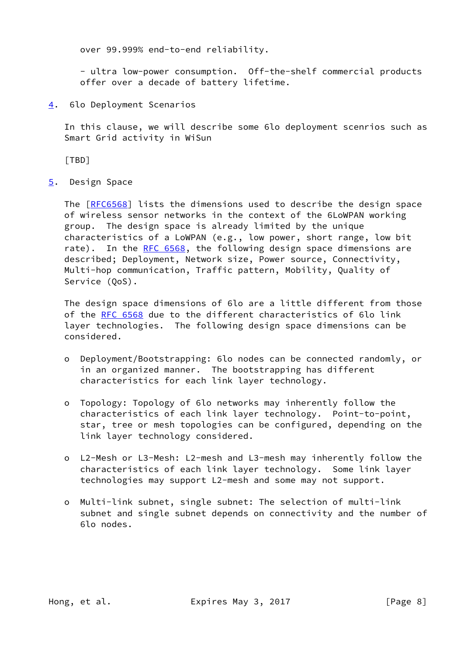over 99.999% end-to-end reliability.

 - ultra low-power consumption. Off-the-shelf commercial products offer over a decade of battery lifetime.

<span id="page-8-0"></span>[4](#page-8-0). 6lo Deployment Scenarios

 In this clause, we will describe some 6lo deployment scenrios such as Smart Grid activity in WiSun

<span id="page-8-2"></span>[TBD]

<span id="page-8-1"></span>[5](#page-8-1). Design Space

The [\[RFC6568](https://datatracker.ietf.org/doc/pdf/rfc6568)] lists the dimensions used to describe the design space of wireless sensor networks in the context of the 6LoWPAN working group. The design space is already limited by the unique characteristics of a LoWPAN (e.g., low power, short range, low bit rate). In the [RFC 6568,](https://datatracker.ietf.org/doc/pdf/rfc6568) the following design space dimensions are described; Deployment, Network size, Power source, Connectivity, Multi-hop communication, Traffic pattern, Mobility, Quality of Service (QoS).

 The design space dimensions of 6lo are a little different from those of the [RFC 6568](https://datatracker.ietf.org/doc/pdf/rfc6568) due to the different characteristics of 6lo link layer technologies. The following design space dimensions can be considered.

- o Deployment/Bootstrapping: 6lo nodes can be connected randomly, or in an organized manner. The bootstrapping has different characteristics for each link layer technology.
- o Topology: Topology of 6lo networks may inherently follow the characteristics of each link layer technology. Point-to-point, star, tree or mesh topologies can be configured, depending on the link layer technology considered.
- o L2-Mesh or L3-Mesh: L2-mesh and L3-mesh may inherently follow the characteristics of each link layer technology. Some link layer technologies may support L2-mesh and some may not support.
- o Multi-link subnet, single subnet: The selection of multi-link subnet and single subnet depends on connectivity and the number of 6lo nodes.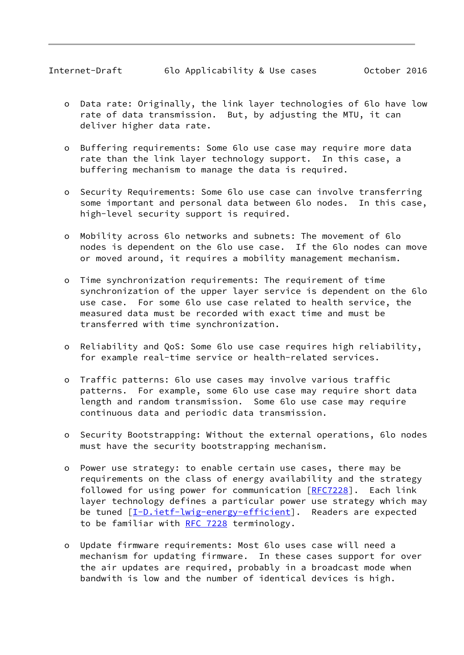- o Data rate: Originally, the link layer technologies of 6lo have low rate of data transmission. But, by adjusting the MTU, it can deliver higher data rate.
- o Buffering requirements: Some 6lo use case may require more data rate than the link layer technology support. In this case, a buffering mechanism to manage the data is required.
- o Security Requirements: Some 6lo use case can involve transferring some important and personal data between 6lo nodes. In this case, high-level security support is required.
- o Mobility across 6lo networks and subnets: The movement of 6lo nodes is dependent on the 6lo use case. If the 6lo nodes can move or moved around, it requires a mobility management mechanism.
- o Time synchronization requirements: The requirement of time synchronization of the upper layer service is dependent on the 6lo use case. For some 6lo use case related to health service, the measured data must be recorded with exact time and must be transferred with time synchronization.
- o Reliability and QoS: Some 6lo use case requires high reliability, for example real-time service or health-related services.
- o Traffic patterns: 6lo use cases may involve various traffic patterns. For example, some 6lo use case may require short data length and random transmission. Some 6lo use case may require continuous data and periodic data transmission.
- o Security Bootstrapping: Without the external operations, 6lo nodes must have the security bootstrapping mechanism.
- o Power use strategy: to enable certain use cases, there may be requirements on the class of energy availability and the strategy followed for using power for communication [[RFC7228](https://datatracker.ietf.org/doc/pdf/rfc7228)]. Each link layer technology defines a particular power use strategy which may be tuned [\[I-D.ietf-lwig-energy-efficient](#page-22-5)]. Readers are expected to be familiar with [RFC 7228](https://datatracker.ietf.org/doc/pdf/rfc7228) terminology.
- o Update firmware requirements: Most 6lo uses case will need a mechanism for updating firmware. In these cases support for over the air updates are required, probably in a broadcast mode when bandwith is low and the number of identical devices is high.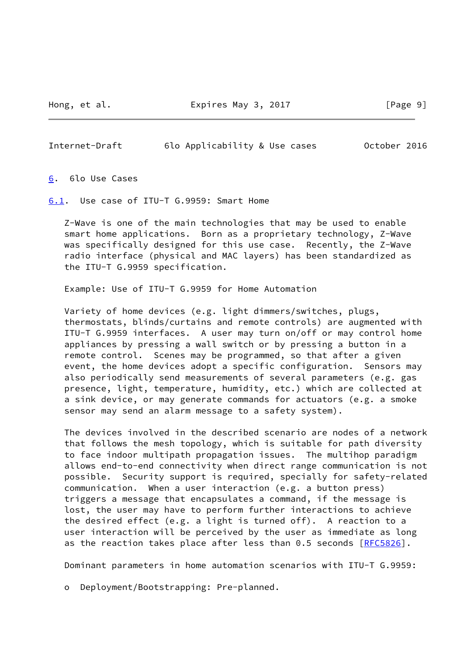Hong, et al. Expires May 3, 2017 [Page 9]

<span id="page-10-1"></span>Internet-Draft 6lo Applicability & Use cases October 2016

<span id="page-10-0"></span>[6](#page-10-0). 6lo Use Cases

<span id="page-10-2"></span>[6.1](#page-10-2). Use case of ITU-T G.9959: Smart Home

 Z-Wave is one of the main technologies that may be used to enable smart home applications. Born as a proprietary technology, Z-Wave was specifically designed for this use case. Recently, the Z-Wave radio interface (physical and MAC layers) has been standardized as the ITU-T G.9959 specification.

Example: Use of ITU-T G.9959 for Home Automation

 Variety of home devices (e.g. light dimmers/switches, plugs, thermostats, blinds/curtains and remote controls) are augmented with ITU-T G.9959 interfaces. A user may turn on/off or may control home appliances by pressing a wall switch or by pressing a button in a remote control. Scenes may be programmed, so that after a given event, the home devices adopt a specific configuration. Sensors may also periodically send measurements of several parameters (e.g. gas presence, light, temperature, humidity, etc.) which are collected at a sink device, or may generate commands for actuators (e.g. a smoke sensor may send an alarm message to a safety system).

 The devices involved in the described scenario are nodes of a network that follows the mesh topology, which is suitable for path diversity to face indoor multipath propagation issues. The multihop paradigm allows end-to-end connectivity when direct range communication is not possible. Security support is required, specially for safety-related communication. When a user interaction (e.g. a button press) triggers a message that encapsulates a command, if the message is lost, the user may have to perform further interactions to achieve the desired effect (e.g. a light is turned off). A reaction to a user interaction will be perceived by the user as immediate as long as the reaction takes place after less than 0.5 seconds [\[RFC5826](https://datatracker.ietf.org/doc/pdf/rfc5826)].

Dominant parameters in home automation scenarios with ITU-T G.9959:

o Deployment/Bootstrapping: Pre-planned.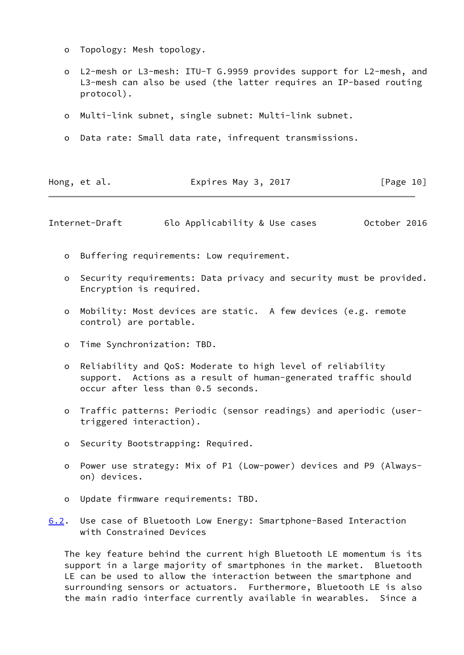- o Topology: Mesh topology.
- o L2-mesh or L3-mesh: ITU-T G.9959 provides support for L2-mesh, and L3-mesh can also be used (the latter requires an IP-based routing protocol).
- o Multi-link subnet, single subnet: Multi-link subnet.
- o Data rate: Small data rate, infrequent transmissions.

| Expires May 3, 2017<br>Hong, et al. | [Page 10] |
|-------------------------------------|-----------|
|-------------------------------------|-----------|

<span id="page-11-0"></span>Internet-Draft 6lo Applicability & Use cases October 2016

- o Buffering requirements: Low requirement.
- o Security requirements: Data privacy and security must be provided. Encryption is required.
- o Mobility: Most devices are static. A few devices (e.g. remote control) are portable.
- o Time Synchronization: TBD.
- o Reliability and QoS: Moderate to high level of reliability support. Actions as a result of human-generated traffic should occur after less than 0.5 seconds.
- o Traffic patterns: Periodic (sensor readings) and aperiodic (user triggered interaction).
- o Security Bootstrapping: Required.
- o Power use strategy: Mix of P1 (Low-power) devices and P9 (Always on) devices.
- o Update firmware requirements: TBD.
- <span id="page-11-1"></span>[6.2](#page-11-1). Use case of Bluetooth Low Energy: Smartphone-Based Interaction with Constrained Devices

 The key feature behind the current high Bluetooth LE momentum is its support in a large majority of smartphones in the market. Bluetooth LE can be used to allow the interaction between the smartphone and surrounding sensors or actuators. Furthermore, Bluetooth LE is also the main radio interface currently available in wearables. Since a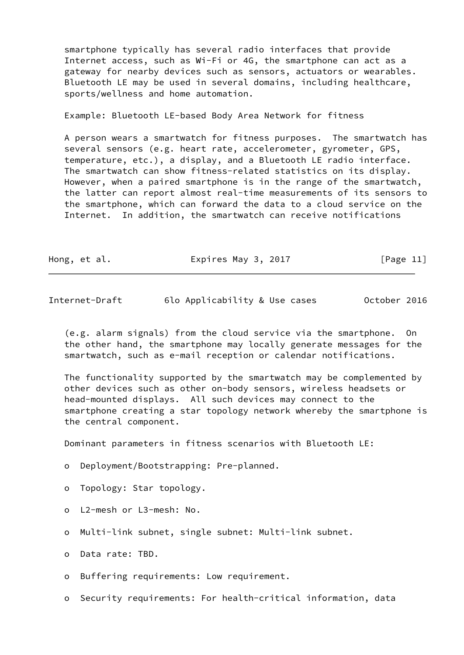smartphone typically has several radio interfaces that provide Internet access, such as Wi-Fi or 4G, the smartphone can act as a gateway for nearby devices such as sensors, actuators or wearables. Bluetooth LE may be used in several domains, including healthcare, sports/wellness and home automation.

Example: Bluetooth LE-based Body Area Network for fitness

 A person wears a smartwatch for fitness purposes. The smartwatch has several sensors (e.g. heart rate, accelerometer, gyrometer, GPS, temperature, etc.), a display, and a Bluetooth LE radio interface. The smartwatch can show fitness-related statistics on its display. However, when a paired smartphone is in the range of the smartwatch, the latter can report almost real-time measurements of its sensors to the smartphone, which can forward the data to a cloud service on the Internet. In addition, the smartwatch can receive notifications

|  | Hong, et al. | Expires May 3, 2017 | [Page 11] |
|--|--------------|---------------------|-----------|
|--|--------------|---------------------|-----------|

Internet-Draft 6lo Applicability & Use cases October 2016

 (e.g. alarm signals) from the cloud service via the smartphone. On the other hand, the smartphone may locally generate messages for the smartwatch, such as e-mail reception or calendar notifications.

 The functionality supported by the smartwatch may be complemented by other devices such as other on-body sensors, wireless headsets or head-mounted displays. All such devices may connect to the smartphone creating a star topology network whereby the smartphone is the central component.

Dominant parameters in fitness scenarios with Bluetooth LE:

- o Deployment/Bootstrapping: Pre-planned.
- o Topology: Star topology.
- o L2-mesh or L3-mesh: No.
- o Multi-link subnet, single subnet: Multi-link subnet.
- o Data rate: TBD.

o Buffering requirements: Low requirement.

o Security requirements: For health-critical information, data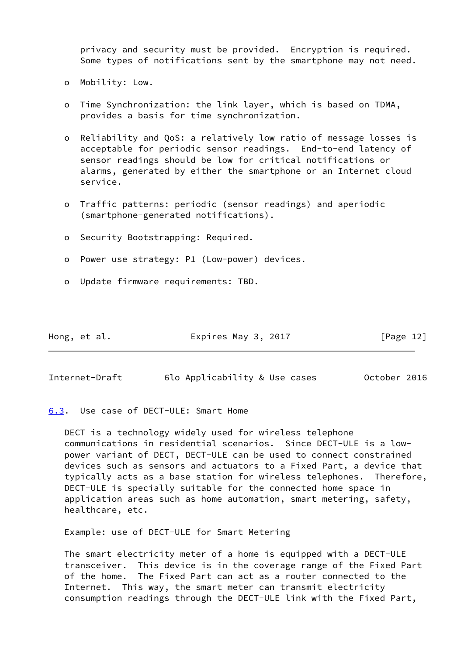privacy and security must be provided. Encryption is required. Some types of notifications sent by the smartphone may not need.

- o Mobility: Low.
- o Time Synchronization: the link layer, which is based on TDMA, provides a basis for time synchronization.
- o Reliability and QoS: a relatively low ratio of message losses is acceptable for periodic sensor readings. End-to-end latency of sensor readings should be low for critical notifications or alarms, generated by either the smartphone or an Internet cloud service.
- o Traffic patterns: periodic (sensor readings) and aperiodic (smartphone-generated notifications).
- o Security Bootstrapping: Required.
- o Power use strategy: P1 (Low-power) devices.
- o Update firmware requirements: TBD.

| Hong, et al. | Expires May 3, 2017 | [Page 12] |
|--------------|---------------------|-----------|
|              |                     |           |

<span id="page-13-1"></span>Internet-Draft 6lo Applicability & Use cases October 2016

<span id="page-13-0"></span>[6.3](#page-13-0). Use case of DECT-ULE: Smart Home

 DECT is a technology widely used for wireless telephone communications in residential scenarios. Since DECT-ULE is a low power variant of DECT, DECT-ULE can be used to connect constrained devices such as sensors and actuators to a Fixed Part, a device that typically acts as a base station for wireless telephones. Therefore, DECT-ULE is specially suitable for the connected home space in application areas such as home automation, smart metering, safety, healthcare, etc.

Example: use of DECT-ULE for Smart Metering

 The smart electricity meter of a home is equipped with a DECT-ULE transceiver. This device is in the coverage range of the Fixed Part of the home. The Fixed Part can act as a router connected to the Internet. This way, the smart meter can transmit electricity consumption readings through the DECT-ULE link with the Fixed Part,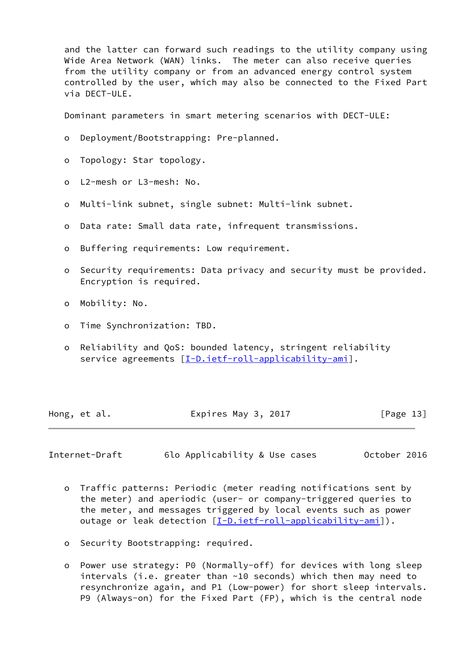and the latter can forward such readings to the utility company using Wide Area Network (WAN) links. The meter can also receive queries from the utility company or from an advanced energy control system controlled by the user, which may also be connected to the Fixed Part via DECT-ULE.

Dominant parameters in smart metering scenarios with DECT-ULE:

- o Deployment/Bootstrapping: Pre-planned.
- o Topology: Star topology.
- o L2-mesh or L3-mesh: No.
- o Multi-link subnet, single subnet: Multi-link subnet.
- o Data rate: Small data rate, infrequent transmissions.
- o Buffering requirements: Low requirement.
- o Security requirements: Data privacy and security must be provided. Encryption is required.
- o Mobility: No.
- o Time Synchronization: TBD.
- o Reliability and QoS: bounded latency, stringent reliability service agreements [[I-D.ietf-roll-applicability-ami](#page-22-6)].

| Hong, et al. | Expires May 3, 2017 | [Page 13] |
|--------------|---------------------|-----------|
|--------------|---------------------|-----------|

<span id="page-14-0"></span>Internet-Draft 6lo Applicability & Use cases October 2016

- o Traffic patterns: Periodic (meter reading notifications sent by the meter) and aperiodic (user- or company-triggered queries to the meter, and messages triggered by local events such as power outage or leak detection [\[I-D.ietf-roll-applicability-ami](#page-22-6)]).
- o Security Bootstrapping: required.
- o Power use strategy: P0 (Normally-off) for devices with long sleep intervals (i.e. greater than ~10 seconds) which then may need to resynchronize again, and P1 (Low-power) for short sleep intervals. P9 (Always-on) for the Fixed Part (FP), which is the central node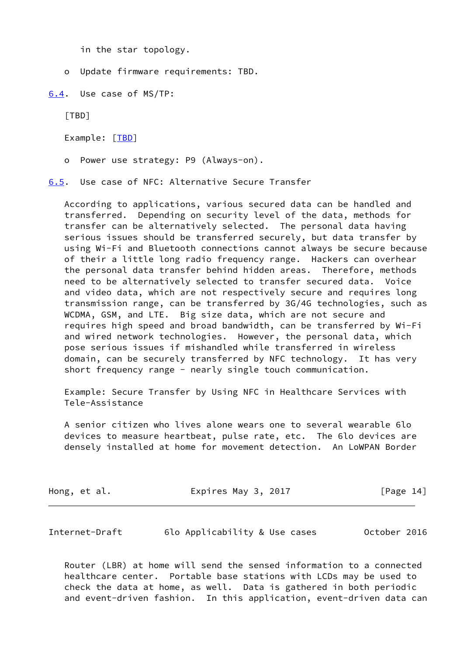in the star topology.

o Update firmware requirements: TBD.

<span id="page-15-0"></span>[6.4](#page-15-0). Use case of MS/TP:

[TBD]

Example: [\[TBD](#page-8-2)]

o Power use strategy: P9 (Always-on).

<span id="page-15-1"></span>[6.5](#page-15-1). Use case of NFC: Alternative Secure Transfer

 According to applications, various secured data can be handled and transferred. Depending on security level of the data, methods for transfer can be alternatively selected. The personal data having serious issues should be transferred securely, but data transfer by using Wi-Fi and Bluetooth connections cannot always be secure because of their a little long radio frequency range. Hackers can overhear the personal data transfer behind hidden areas. Therefore, methods need to be alternatively selected to transfer secured data. Voice and video data, which are not respectively secure and requires long transmission range, can be transferred by 3G/4G technologies, such as WCDMA, GSM, and LTE. Big size data, which are not secure and requires high speed and broad bandwidth, can be transferred by Wi-Fi and wired network technologies. However, the personal data, which pose serious issues if mishandled while transferred in wireless domain, can be securely transferred by NFC technology. It has very short frequency range - nearly single touch communication.

 Example: Secure Transfer by Using NFC in Healthcare Services with Tele-Assistance

 A senior citizen who lives alone wears one to several wearable 6lo devices to measure heartbeat, pulse rate, etc. The 6lo devices are densely installed at home for movement detection. An LoWPAN Border

| Hong, et al. | Expires May 3, 2017 | [Page 14] |
|--------------|---------------------|-----------|
|              |                     |           |

| Internet-Draft |  | 6lo Applicability & Use cases |  |  | October 2016 |  |
|----------------|--|-------------------------------|--|--|--------------|--|
|----------------|--|-------------------------------|--|--|--------------|--|

 Router (LBR) at home will send the sensed information to a connected healthcare center. Portable base stations with LCDs may be used to check the data at home, as well. Data is gathered in both periodic and event-driven fashion. In this application, event-driven data can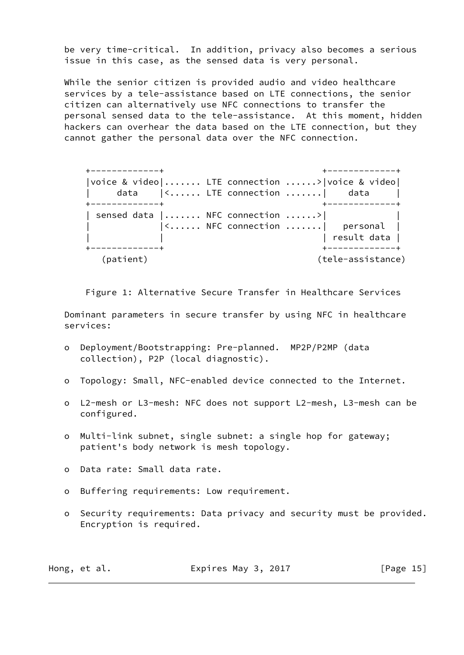be very time-critical. In addition, privacy also becomes a serious issue in this case, as the sensed data is very personal.

 While the senior citizen is provided audio and video healthcare services by a tele-assistance based on LTE connections, the senior citizen can alternatively use NFC connections to transfer the personal sensed data to the tele-assistance. At this moment, hidden hackers can overhear the data based on the LTE connection, but they cannot gather the personal data over the NFC connection.

 +-------------+ +-------------+ |voice & video|....... LTE connection ......>|voice & video| data |<...... LTE connection .......| data +-------------+ +-------------+ | sensed data | ....... NFC connection ......>| |<...... NFC connection .......| personal | result data | +-------------+ +-------------+ (patient) (tele-assistance)

Figure 1: Alternative Secure Transfer in Healthcare Services

 Dominant parameters in secure transfer by using NFC in healthcare services:

- o Deployment/Bootstrapping: Pre-planned. MP2P/P2MP (data collection), P2P (local diagnostic).
- o Topology: Small, NFC-enabled device connected to the Internet.
- o L2-mesh or L3-mesh: NFC does not support L2-mesh, L3-mesh can be configured.
- o Multi-link subnet, single subnet: a single hop for gateway; patient's body network is mesh topology.
- o Data rate: Small data rate.
- o Buffering requirements: Low requirement.
- o Security requirements: Data privacy and security must be provided. Encryption is required.

| Hong, et al. | Expires May 3, 2017 | [Page 15] |
|--------------|---------------------|-----------|
|--------------|---------------------|-----------|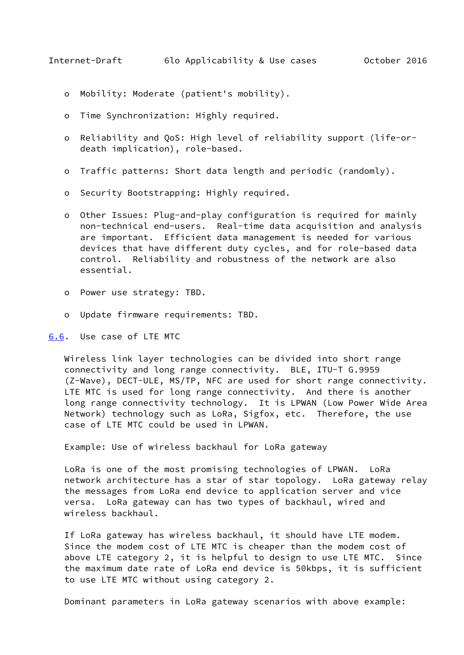- <span id="page-17-1"></span>o Mobility: Moderate (patient's mobility).
- o Time Synchronization: Highly required.
- o Reliability and QoS: High level of reliability support (life-or death implication), role-based.
- o Traffic patterns: Short data length and periodic (randomly).
- o Security Bootstrapping: Highly required.
- o Other Issues: Plug-and-play configuration is required for mainly non-technical end-users. Real-time data acquisition and analysis are important. Efficient data management is needed for various devices that have different duty cycles, and for role-based data control. Reliability and robustness of the network are also essential.
- o Power use strategy: TBD.
- o Update firmware requirements: TBD.

<span id="page-17-0"></span>[6.6](#page-17-0). Use case of LTE MTC

 Wireless link layer technologies can be divided into short range connectivity and long range connectivity. BLE, ITU-T G.9959 (Z-Wave), DECT-ULE, MS/TP, NFC are used for short range connectivity. LTE MTC is used for long range connectivity. And there is another long range connectivity technology. It is LPWAN (Low Power Wide Area Network) technology such as LoRa, Sigfox, etc. Therefore, the use case of LTE MTC could be used in LPWAN.

Example: Use of wireless backhaul for LoRa gateway

 LoRa is one of the most promising technologies of LPWAN. LoRa network architecture has a star of star topology. LoRa gateway relay the messages from LoRa end device to application server and vice versa. LoRa gateway can has two types of backhaul, wired and wireless backhaul.

 If LoRa gateway has wireless backhaul, it should have LTE modem. Since the modem cost of LTE MTC is cheaper than the modem cost of above LTE category 2, it is helpful to design to use LTE MTC. Since the maximum date rate of LoRa end device is 50kbps, it is sufficient to use LTE MTC without using category 2.

Dominant parameters in LoRa gateway scenarios with above example: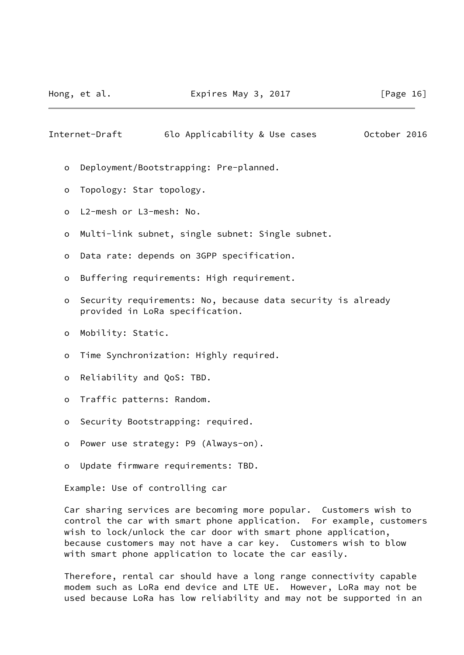Internet-Draft 6lo Applicability & Use cases October 2016

- o Deployment/Bootstrapping: Pre-planned.
- o Topology: Star topology.
- o L2-mesh or L3-mesh: No.
- o Multi-link subnet, single subnet: Single subnet.
- o Data rate: depends on 3GPP specification.
- o Buffering requirements: High requirement.
- o Security requirements: No, because data security is already provided in LoRa specification.
- o Mobility: Static.
- o Time Synchronization: Highly required.
- o Reliability and QoS: TBD.
- o Traffic patterns: Random.
- o Security Bootstrapping: required.
- o Power use strategy: P9 (Always-on).
- o Update firmware requirements: TBD.

Example: Use of controlling car

 Car sharing services are becoming more popular. Customers wish to control the car with smart phone application. For example, customers wish to lock/unlock the car door with smart phone application, because customers may not have a car key. Customers wish to blow with smart phone application to locate the car easily.

 Therefore, rental car should have a long range connectivity capable modem such as LoRa end device and LTE UE. However, LoRa may not be used because LoRa has low reliability and may not be supported in an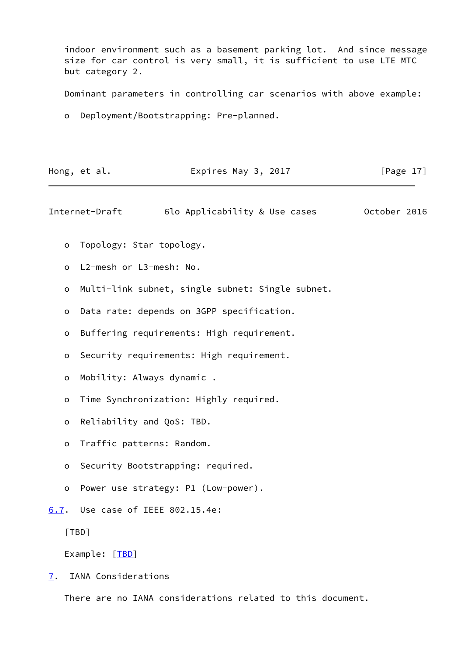indoor environment such as a basement parking lot. And since message size for car control is very small, it is sufficient to use LTE MTC but category 2.

Dominant parameters in controlling car scenarios with above example:

o Deployment/Bootstrapping: Pre-planned.

| Hong, et al. | Expires May 3, 2017 | [Page 17] |
|--------------|---------------------|-----------|
|              |                     |           |

<span id="page-19-1"></span>Internet-Draft 6lo Applicability & Use cases October 2016

- o Topology: Star topology.
- o L2-mesh or L3-mesh: No.
- o Multi-link subnet, single subnet: Single subnet.
- o Data rate: depends on 3GPP specification.
- o Buffering requirements: High requirement.
- o Security requirements: High requirement.
- o Mobility: Always dynamic .
- o Time Synchronization: Highly required.
- o Reliability and QoS: TBD.
- o Traffic patterns: Random.
- o Security Bootstrapping: required.
- o Power use strategy: P1 (Low-power).
- <span id="page-19-0"></span>[6.7](#page-19-0). Use case of IEEE 802.15.4e:

[TBD]

Example: [\[TBD](#page-8-2)]

<span id="page-19-2"></span>[7](#page-19-2). IANA Considerations

There are no IANA considerations related to this document.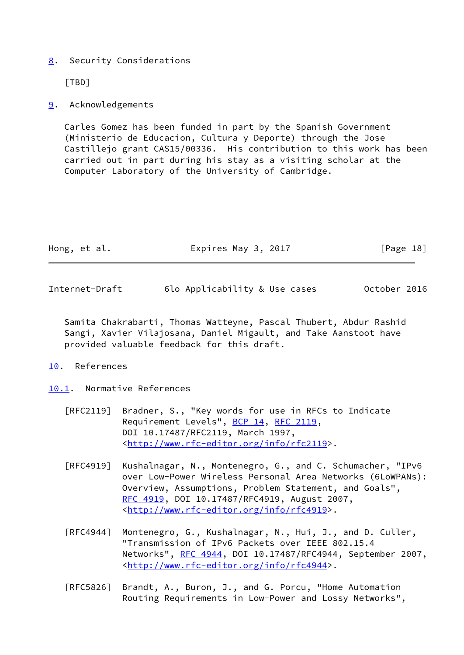# <span id="page-20-0"></span>[8](#page-20-0). Security Considerations

[TBD]

# <span id="page-20-1"></span>[9](#page-20-1). Acknowledgements

 Carles Gomez has been funded in part by the Spanish Government (Ministerio de Educacion, Cultura y Deporte) through the Jose Castillejo grant CAS15/00336. His contribution to this work has been carried out in part during his stay as a visiting scholar at the Computer Laboratory of the University of Cambridge.

| Hong, et al. | Expires May 3, 2017 | [Page 18] |
|--------------|---------------------|-----------|
|              |                     |           |

<span id="page-20-3"></span>Internet-Draft 6lo Applicability & Use cases October 2016

 Samita Chakrabarti, Thomas Watteyne, Pascal Thubert, Abdur Rashid Sangi, Xavier Vilajosana, Daniel Migault, and Take Aanstoot have provided valuable feedback for this draft.

### <span id="page-20-2"></span>[10.](#page-20-2) References

<span id="page-20-4"></span>[10.1](#page-20-4). Normative References

- [RFC2119] Bradner, S., "Key words for use in RFCs to Indicate Requirement Levels", [BCP 14](https://datatracker.ietf.org/doc/pdf/bcp14), [RFC 2119](https://datatracker.ietf.org/doc/pdf/rfc2119), DOI 10.17487/RFC2119, March 1997, <<http://www.rfc-editor.org/info/rfc2119>>.
- [RFC4919] Kushalnagar, N., Montenegro, G., and C. Schumacher, "IPv6 over Low-Power Wireless Personal Area Networks (6LoWPANs): Overview, Assumptions, Problem Statement, and Goals", [RFC 4919,](https://datatracker.ietf.org/doc/pdf/rfc4919) DOI 10.17487/RFC4919, August 2007, <<http://www.rfc-editor.org/info/rfc4919>>.
- [RFC4944] Montenegro, G., Kushalnagar, N., Hui, J., and D. Culler, "Transmission of IPv6 Packets over IEEE 802.15.4 Networks", [RFC 4944](https://datatracker.ietf.org/doc/pdf/rfc4944), DOI 10.17487/RFC4944, September 2007, <<http://www.rfc-editor.org/info/rfc4944>>.
- [RFC5826] Brandt, A., Buron, J., and G. Porcu, "Home Automation Routing Requirements in Low-Power and Lossy Networks",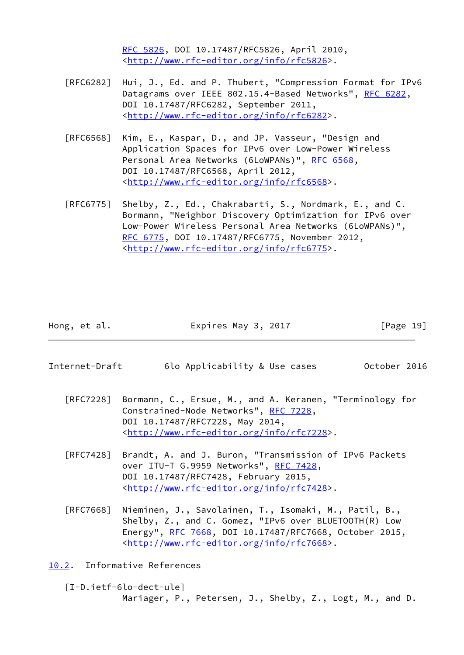[RFC 5826,](https://datatracker.ietf.org/doc/pdf/rfc5826) DOI 10.17487/RFC5826, April 2010, <<http://www.rfc-editor.org/info/rfc5826>>.

- [RFC6282] Hui, J., Ed. and P. Thubert, "Compression Format for IPv6 Datagrams over IEEE 802.15.4-Based Networks", [RFC 6282](https://datatracker.ietf.org/doc/pdf/rfc6282), DOI 10.17487/RFC6282, September 2011, <<http://www.rfc-editor.org/info/rfc6282>>.
- [RFC6568] Kim, E., Kaspar, D., and JP. Vasseur, "Design and Application Spaces for IPv6 over Low-Power Wireless Personal Area Networks (6LoWPANs)", [RFC 6568,](https://datatracker.ietf.org/doc/pdf/rfc6568) DOI 10.17487/RFC6568, April 2012, <<http://www.rfc-editor.org/info/rfc6568>>.
- [RFC6775] Shelby, Z., Ed., Chakrabarti, S., Nordmark, E., and C. Bormann, "Neighbor Discovery Optimization for IPv6 over Low-Power Wireless Personal Area Networks (6LoWPANs)", [RFC 6775,](https://datatracker.ietf.org/doc/pdf/rfc6775) DOI 10.17487/RFC6775, November 2012, <<http://www.rfc-editor.org/info/rfc6775>>.

Hong, et al. **Expires May 3, 2017** [Page 19]

- <span id="page-21-1"></span>Internet-Draft 6lo Applicability & Use cases October 2016
	- [RFC7228] Bormann, C., Ersue, M., and A. Keranen, "Terminology for Constrained-Node Networks", [RFC 7228,](https://datatracker.ietf.org/doc/pdf/rfc7228) DOI 10.17487/RFC7228, May 2014, <<http://www.rfc-editor.org/info/rfc7228>>.
	- [RFC7428] Brandt, A. and J. Buron, "Transmission of IPv6 Packets over ITU-T G.9959 Networks", [RFC 7428](https://datatracker.ietf.org/doc/pdf/rfc7428), DOI 10.17487/RFC7428, February 2015, <<http://www.rfc-editor.org/info/rfc7428>>.
	- [RFC7668] Nieminen, J., Savolainen, T., Isomaki, M., Patil, B., Shelby, Z., and C. Gomez, "IPv6 over BLUETOOTH(R) Low Energy", [RFC 7668,](https://datatracker.ietf.org/doc/pdf/rfc7668) DOI 10.17487/RFC7668, October 2015, <<http://www.rfc-editor.org/info/rfc7668>>.

<span id="page-21-0"></span>[10.2](#page-21-0). Informative References

<span id="page-21-2"></span> [I-D.ietf-6lo-dect-ule] Mariager, P., Petersen, J., Shelby, Z., Logt, M., and D.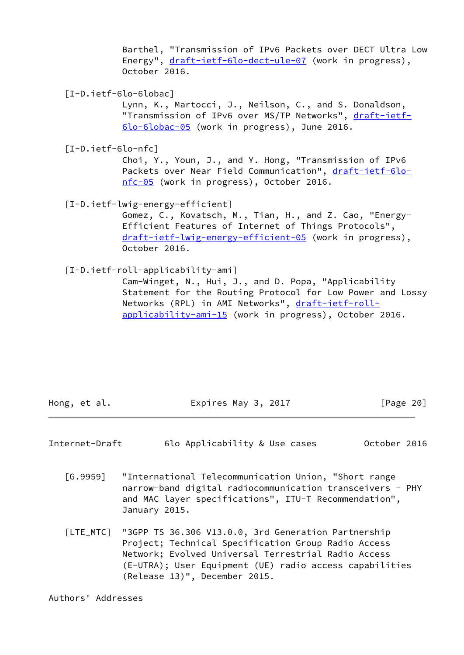Barthel, "Transmission of IPv6 Packets over DECT Ultra Low Energy", [draft-ietf-6lo-dect-ule-07](https://datatracker.ietf.org/doc/pdf/draft-ietf-6lo-dect-ule-07) (work in progress), October 2016.

<span id="page-22-2"></span>[I-D.ietf-6lo-6lobac]

 Lynn, K., Martocci, J., Neilson, C., and S. Donaldson, "Transmission of IPv6 over MS/TP Networks", [draft-ietf-](https://datatracker.ietf.org/doc/pdf/draft-ietf-6lo-6lobac-05) [6lo-6lobac-05](https://datatracker.ietf.org/doc/pdf/draft-ietf-6lo-6lobac-05) (work in progress), June 2016.

<span id="page-22-3"></span>[I-D.ietf-6lo-nfc]

 Choi, Y., Youn, J., and Y. Hong, "Transmission of IPv6 Packets over Near Field Communication", [draft-ietf-6lo](https://datatracker.ietf.org/doc/pdf/draft-ietf-6lo-nfc-05) [nfc-05](https://datatracker.ietf.org/doc/pdf/draft-ietf-6lo-nfc-05) (work in progress), October 2016.

<span id="page-22-5"></span>[I-D.ietf-lwig-energy-efficient]

 Gomez, C., Kovatsch, M., Tian, H., and Z. Cao, "Energy- Efficient Features of Internet of Things Protocols", [draft-ietf-lwig-energy-efficient-05](https://datatracker.ietf.org/doc/pdf/draft-ietf-lwig-energy-efficient-05) (work in progress), October 2016.

<span id="page-22-6"></span>[I-D.ietf-roll-applicability-ami]

 Cam-Winget, N., Hui, J., and D. Popa, "Applicability Statement for the Routing Protocol for Low Power and Lossy Networks (RPL) in AMI Networks", [draft-ietf-roll](https://datatracker.ietf.org/doc/pdf/draft-ietf-roll-applicability-ami-15) [applicability-ami-15](https://datatracker.ietf.org/doc/pdf/draft-ietf-roll-applicability-ami-15) (work in progress), October 2016.

Hong, et al. Expires May 3, 2017 [Page 20]

<span id="page-22-0"></span>Internet-Draft 6lo Applicability & Use cases October 2016

- <span id="page-22-1"></span> [G.9959] "International Telecommunication Union, "Short range narrow-band digital radiocommunication transceivers - PHY and MAC layer specifications", ITU-T Recommendation", January 2015.
- <span id="page-22-4"></span> [LTE\_MTC] "3GPP TS 36.306 V13.0.0, 3rd Generation Partnership Project; Technical Specification Group Radio Access Network; Evolved Universal Terrestrial Radio Access (E-UTRA); User Equipment (UE) radio access capabilities (Release 13)", December 2015.

Authors' Addresses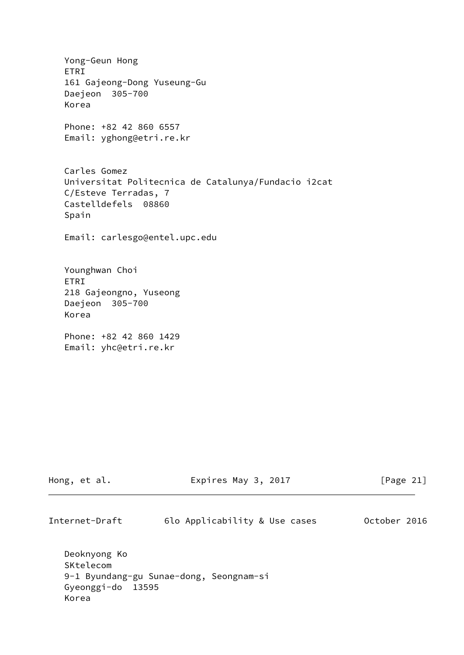Yong-Geun Hong ETRI 161 Gajeong-Dong Yuseung-Gu Daejeon 305-700 Korea Phone: +82 42 860 6557 Email: yghong@etri.re.kr Carles Gomez Universitat Politecnica de Catalunya/Fundacio i2cat C/Esteve Terradas, 7 Castelldefels 08860 Spain Email: carlesgo@entel.upc.edu Younghwan Choi ETRI 218 Gajeongno, Yuseong Daejeon 305-700 Korea Phone: +82 42 860 1429 Email: yhc@etri.re.kr

| Hong, et al.                                            | Expires May 3, 2017                     | $\lceil \text{Page 21} \rceil$ |
|---------------------------------------------------------|-----------------------------------------|--------------------------------|
| Internet-Draft                                          | 6lo Applicability & Use cases           | October 2016                   |
| Deoknyong Ko<br>SKtelecom<br>Gyeonggi-do 13595<br>Korea | 9-1 Byundang-gu Sunae-dong, Seongnam-si |                                |